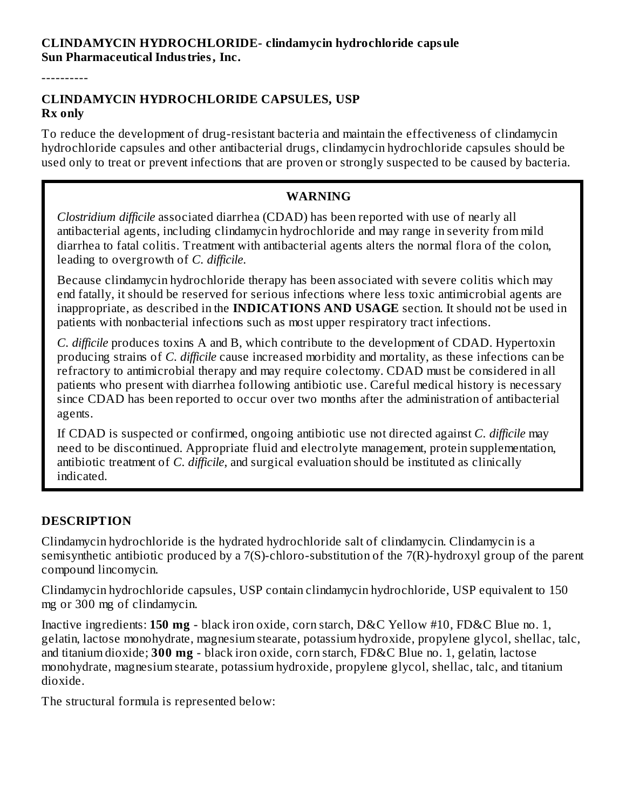#### **CLINDAMYCIN HYDROCHLORIDE- clindamycin hydrochloride capsule Sun Pharmaceutical Industries, Inc.**

----------

#### **CLINDAMYCIN HYDROCHLORIDE CAPSULES, USP Rx only**

To reduce the development of drug-resistant bacteria and maintain the effectiveness of clindamycin hydrochloride capsules and other antibacterial drugs, clindamycin hydrochloride capsules should be used only to treat or prevent infections that are proven or strongly suspected to be caused by bacteria.

## **WARNING**

*Clostridium difficile* associated diarrhea (CDAD) has been reported with use of nearly all antibacterial agents, including clindamycin hydrochloride and may range in severity from mild diarrhea to fatal colitis. Treatment with antibacterial agents alters the normal flora of the colon, leading to overgrowth of *C. difficile*.

Because clindamycin hydrochloride therapy has been associated with severe colitis which may end fatally, it should be reserved for serious infections where less toxic antimicrobial agents are inappropriate, as described in the **INDICATIONS AND USAGE** section. It should not be used in patients with nonbacterial infections such as most upper respiratory tract infections.

*C. difficile* produces toxins A and B, which contribute to the development of CDAD. Hypertoxin producing strains of *C. difficile* cause increased morbidity and mortality, as these infections can be refractory to antimicrobial therapy and may require colectomy. CDAD must be considered in all patients who present with diarrhea following antibiotic use. Careful medical history is necessary since CDAD has been reported to occur over two months after the administration of antibacterial agents.

If CDAD is suspected or confirmed, ongoing antibiotic use not directed against *C. difficile* may need to be discontinued. Appropriate fluid and electrolyte management, protein supplementation, antibiotic treatment of *C. difficile*, and surgical evaluation should be instituted as clinically indicated.

#### **DESCRIPTION**

Clindamycin hydrochloride is the hydrated hydrochloride salt of clindamycin. Clindamycin is a semisynthetic antibiotic produced by a 7(S)-chloro-substitution of the 7(R)-hydroxyl group of the parent compound lincomycin.

Clindamycin hydrochloride capsules, USP contain clindamycin hydrochloride, USP equivalent to 150 mg or 300 mg of clindamycin.

Inactive ingredients: **150 mg** - black iron oxide, corn starch, D&C Yellow #10, FD&C Blue no. 1, gelatin, lactose monohydrate, magnesium stearate, potassium hydroxide, propylene glycol, shellac, talc, and titanium dioxide; **300 mg** - black iron oxide, corn starch, FD&C Blue no. 1, gelatin, lactose monohydrate, magnesium stearate, potassium hydroxide, propylene glycol, shellac, talc, and titanium dioxide.

The structural formula is represented below: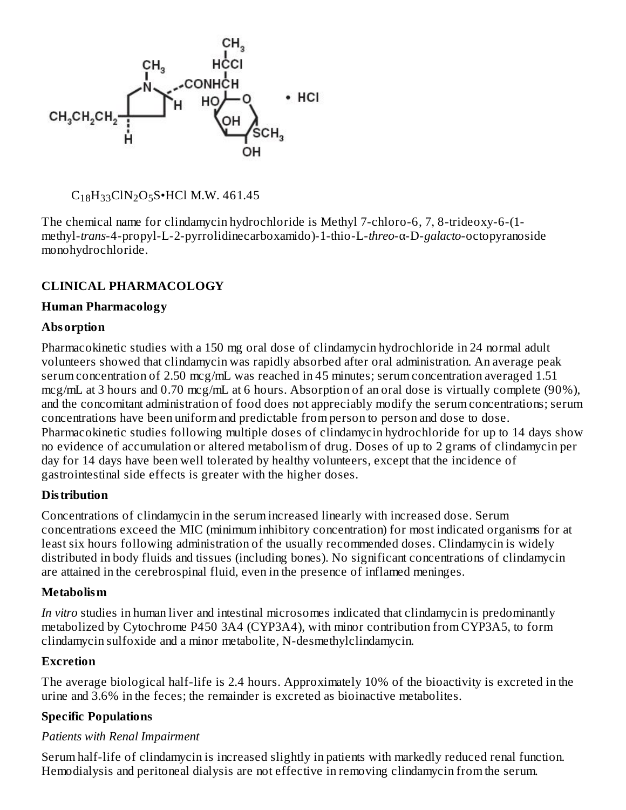

 $C_{18}H_{33}CIN_2O_5S$ •HCl M.W. 461.45

The chemical name for clindamycin hydrochloride is Methyl 7-chloro-6, 7, 8-trideoxy-6-(1 methyl-*trans*-4-propyl-L-2-pyrrolidinecarboxamido)-1-thio-L-*threo*-α-D-*galacto*-octopyranoside monohydrochloride.

### **CLINICAL PHARMACOLOGY**

#### **Human Pharmacology**

#### **Absorption**

Pharmacokinetic studies with a 150 mg oral dose of clindamycin hydrochloride in 24 normal adult volunteers showed that clindamycin was rapidly absorbed after oral administration. An average peak serum concentration of 2.50 mcg/mL was reached in 45 minutes; serum concentration averaged 1.51 mcg/mL at 3 hours and 0.70 mcg/mL at 6 hours. Absorption of an oral dose is virtually complete (90%), and the concomitant administration of food does not appreciably modify the serum concentrations; serum concentrations have been uniform and predictable from person to person and dose to dose. Pharmacokinetic studies following multiple doses of clindamycin hydrochloride for up to 14 days show no evidence of accumulation or altered metabolism of drug. Doses of up to 2 grams of clindamycin per day for 14 days have been well tolerated by healthy volunteers, except that the incidence of gastrointestinal side effects is greater with the higher doses.

#### **Distribution**

Concentrations of clindamycin in the serum increased linearly with increased dose. Serum concentrations exceed the MIC (minimum inhibitory concentration) for most indicated organisms for at least six hours following administration of the usually recommended doses. Clindamycin is widely distributed in body fluids and tissues (including bones). No significant concentrations of clindamycin are attained in the cerebrospinal fluid, even in the presence of inflamed meninges.

#### **Metabolism**

*In vitro* studies in human liver and intestinal microsomes indicated that clindamycin is predominantly metabolized by Cytochrome P450 3A4 (CYP3A4), with minor contribution from CYP3A5, to form clindamycin sulfoxide and a minor metabolite, N-desmethylclindamycin.

#### **Excretion**

The average biological half-life is 2.4 hours. Approximately 10% of the bioactivity is excreted in the urine and 3.6% in the feces; the remainder is excreted as bioinactive metabolites.

#### **Specific Populations**

#### *Patients with Renal Impairment*

Serum half-life of clindamycin is increased slightly in patients with markedly reduced renal function. Hemodialysis and peritoneal dialysis are not effective in removing clindamycin from the serum.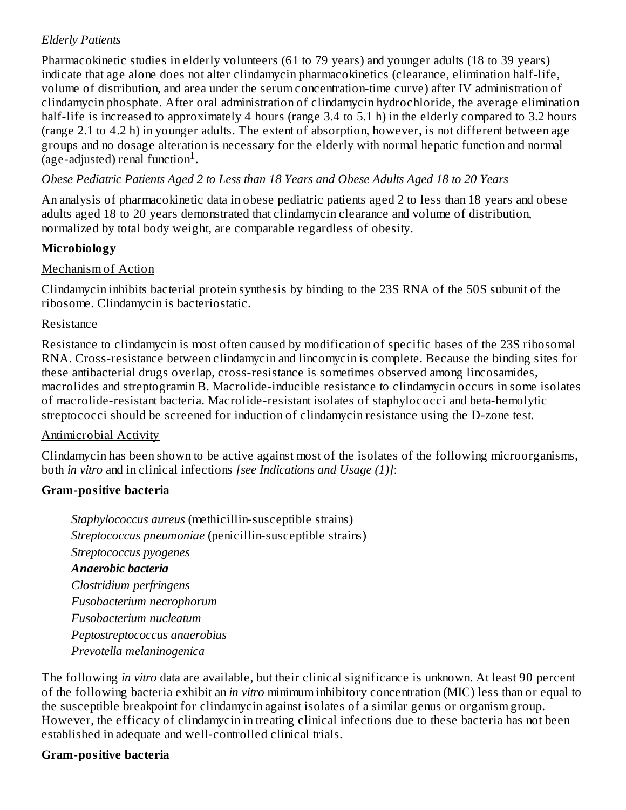### *Elderly Patients*

Pharmacokinetic studies in elderly volunteers (61 to 79 years) and younger adults (18 to 39 years) indicate that age alone does not alter clindamycin pharmacokinetics (clearance, elimination half-life, volume of distribution, and area under the serum concentration-time curve) after IV administration of clindamycin phosphate. After oral administration of clindamycin hydrochloride, the average elimination half-life is increased to approximately 4 hours (range 3.4 to 5.1 h) in the elderly compared to 3.2 hours (range 2.1 to 4.2 h) in younger adults. The extent of absorption, however, is not different between age groups and no dosage alteration is necessary for the elderly with normal hepatic function and normal (age-adjusted) renal function<sup>1</sup>.

*Obese Pediatric Patients Aged 2 to Less than 18 Years and Obese Adults Aged 18 to 20 Years*

An analysis of pharmacokinetic data in obese pediatric patients aged 2 to less than 18 years and obese adults aged 18 to 20 years demonstrated that clindamycin clearance and volume of distribution, normalized by total body weight, are comparable regardless of obesity.

### **Microbiology**

#### Mechanism of Action

Clindamycin inhibits bacterial protein synthesis by binding to the 23S RNA of the 50S subunit of the ribosome. Clindamycin is bacteriostatic.

#### Resistance

Resistance to clindamycin is most often caused by modification of specific bases of the 23S ribosomal RNA. Cross-resistance between clindamycin and lincomycin is complete. Because the binding sites for these antibacterial drugs overlap, cross-resistance is sometimes observed among lincosamides, macrolides and streptogramin B. Macrolide-inducible resistance to clindamycin occurs in some isolates of macrolide-resistant bacteria. Macrolide-resistant isolates of staphylococci and beta-hemolytic streptococci should be screened for induction of clindamycin resistance using the D-zone test.

#### Antimicrobial Activity

Clindamycin has been shown to be active against most of the isolates of the following microorganisms, both *in vitro* and in clinical infections *[see Indications and Usage (1)]*:

#### **Gram-positive bacteria**

*Staphylococcus aureus* (methicillin-susceptible strains) *Streptococcus pneumoniae* (penicillin-susceptible strains) *Streptococcus pyogenes Anaerobic bacteria Clostridium perfringens Fusobacterium necrophorum Fusobacterium nucleatum Peptostreptococcus anaerobius Prevotella melaninogenica*

The following *in vitro* data are available, but their clinical significance is unknown. At least 90 percent of the following bacteria exhibit an *in vitro* minimum inhibitory concentration (MIC) less than or equal to the susceptible breakpoint for clindamycin against isolates of a similar genus or organism group. However, the efficacy of clindamycin in treating clinical infections due to these bacteria has not been established in adequate and well-controlled clinical trials.

## **Gram-positive bacteria**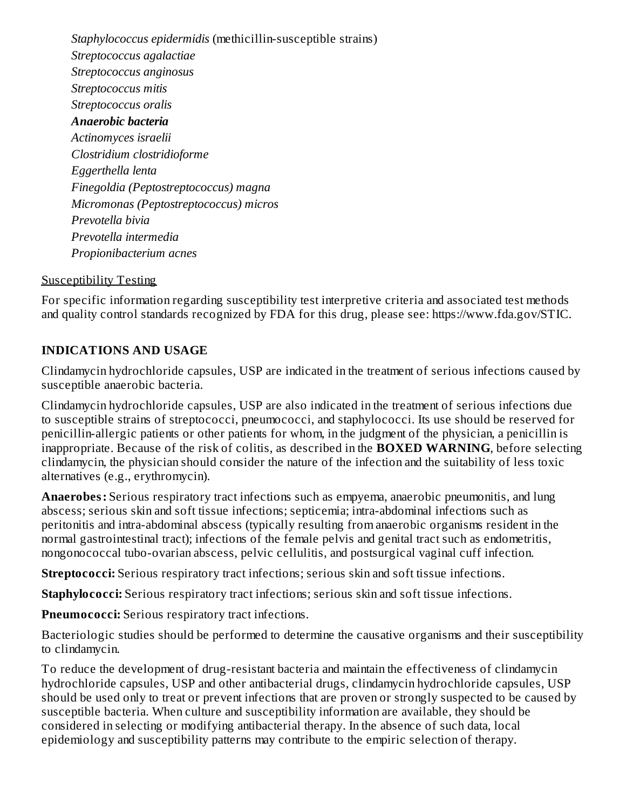*Staphylococcus epidermidis* (methicillin-susceptible strains) *Streptococcus agalactiae Streptococcus anginosus Streptococcus mitis Streptococcus oralis Anaerobic bacteria Actinomyces israelii Clostridium clostridioforme Eggerthella lenta Finegoldia (Peptostreptococcus) magna Micromonas (Peptostreptococcus) micros Prevotella bivia Prevotella intermedia Propionibacterium acnes*

#### Susceptibility Testing

For specific information regarding susceptibility test interpretive criteria and associated test methods and quality control standards recognized by FDA for this drug, please see: https://www.fda.gov/STIC.

#### **INDICATIONS AND USAGE**

Clindamycin hydrochloride capsules, USP are indicated in the treatment of serious infections caused by susceptible anaerobic bacteria.

Clindamycin hydrochloride capsules, USP are also indicated in the treatment of serious infections due to susceptible strains of streptococci, pneumococci, and staphylococci. Its use should be reserved for penicillin-allergic patients or other patients for whom, in the judgment of the physician, a penicillin is inappropriate. Because of the risk of colitis, as described in the **BOXED WARNING**, before selecting clindamycin, the physician should consider the nature of the infection and the suitability of less toxic alternatives (e.g., erythromycin).

**Anaerobes:** Serious respiratory tract infections such as empyema, anaerobic pneumonitis, and lung abscess; serious skin and soft tissue infections; septicemia; intra-abdominal infections such as peritonitis and intra-abdominal abscess (typically resulting from anaerobic organisms resident in the normal gastrointestinal tract); infections of the female pelvis and genital tract such as endometritis, nongonococcal tubo-ovarian abscess, pelvic cellulitis, and postsurgical vaginal cuff infection.

Streptococci: Serious respiratory tract infections; serious skin and soft tissue infections.

**Staphylococci:** Serious respiratory tract infections; serious skin and soft tissue infections.

**Pneumococci:** Serious respiratory tract infections.

Bacteriologic studies should be performed to determine the causative organisms and their susceptibility to clindamycin.

To reduce the development of drug-resistant bacteria and maintain the effectiveness of clindamycin hydrochloride capsules, USP and other antibacterial drugs, clindamycin hydrochloride capsules, USP should be used only to treat or prevent infections that are proven or strongly suspected to be caused by susceptible bacteria. When culture and susceptibility information are available, they should be considered in selecting or modifying antibacterial therapy. In the absence of such data, local epidemiology and susceptibility patterns may contribute to the empiric selection of therapy.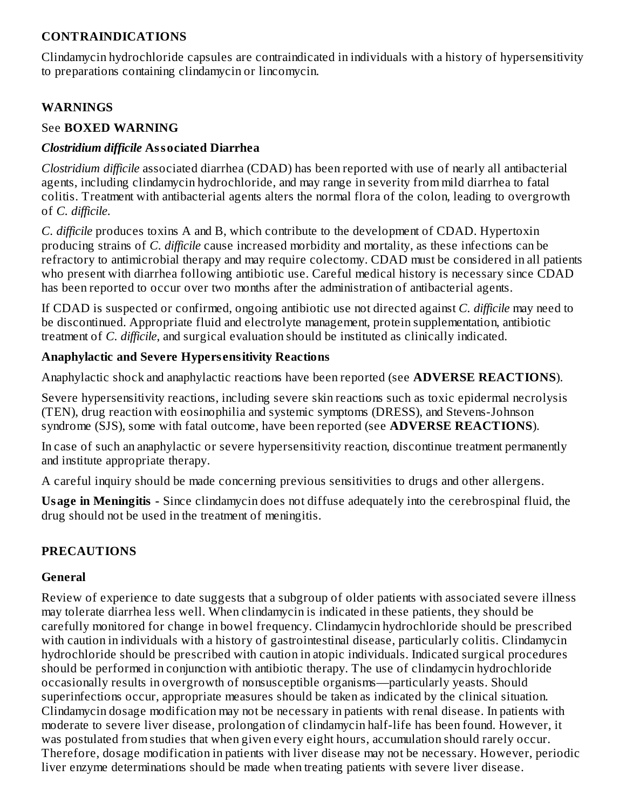#### **CONTRAINDICATIONS**

Clindamycin hydrochloride capsules are contraindicated in individuals with a history of hypersensitivity to preparations containing clindamycin or lincomycin.

### **WARNINGS**

## See **BOXED WARNING**

## *Clostridium difficile* **Associated Diarrhea**

*Clostridium difficile* associated diarrhea (CDAD) has been reported with use of nearly all antibacterial agents, including clindamycin hydrochloride, and may range in severity from mild diarrhea to fatal colitis. Treatment with antibacterial agents alters the normal flora of the colon, leading to overgrowth of *C. difficile*.

*C. difficile* produces toxins A and B, which contribute to the development of CDAD. Hypertoxin producing strains of *C. difficile* cause increased morbidity and mortality, as these infections can be refractory to antimicrobial therapy and may require colectomy. CDAD must be considered in all patients who present with diarrhea following antibiotic use. Careful medical history is necessary since CDAD has been reported to occur over two months after the administration of antibacterial agents.

If CDAD is suspected or confirmed, ongoing antibiotic use not directed against *C. difficile* may need to be discontinued. Appropriate fluid and electrolyte management, protein supplementation, antibiotic treatment of *C. difficile*, and surgical evaluation should be instituted as clinically indicated.

## **Anaphylactic and Severe Hypers ensitivity Reactions**

Anaphylactic shock and anaphylactic reactions have been reported (see **ADVERSE REACTIONS**).

Severe hypersensitivity reactions, including severe skin reactions such as toxic epidermal necrolysis (TEN), drug reaction with eosinophilia and systemic symptoms (DRESS), and Stevens-Johnson syndrome (SJS), some with fatal outcome, have been reported (see **ADVERSE REACTIONS**).

In case of such an anaphylactic or severe hypersensitivity reaction, discontinue treatment permanently and institute appropriate therapy.

A careful inquiry should be made concerning previous sensitivities to drugs and other allergens.

**Usage in Meningitis -** Since clindamycin does not diffuse adequately into the cerebrospinal fluid, the drug should not be used in the treatment of meningitis.

# **PRECAUTIONS**

## **General**

Review of experience to date suggests that a subgroup of older patients with associated severe illness may tolerate diarrhea less well. When clindamycin is indicated in these patients, they should be carefully monitored for change in bowel frequency. Clindamycin hydrochloride should be prescribed with caution in individuals with a history of gastrointestinal disease, particularly colitis. Clindamycin hydrochloride should be prescribed with caution in atopic individuals. Indicated surgical procedures should be performed in conjunction with antibiotic therapy. The use of clindamycin hydrochloride occasionally results in overgrowth of nonsusceptible organisms—particularly yeasts. Should superinfections occur, appropriate measures should be taken as indicated by the clinical situation. Clindamycin dosage modification may not be necessary in patients with renal disease. In patients with moderate to severe liver disease, prolongation of clindamycin half-life has been found. However, it was postulated from studies that when given every eight hours, accumulation should rarely occur. Therefore, dosage modification in patients with liver disease may not be necessary. However, periodic liver enzyme determinations should be made when treating patients with severe liver disease.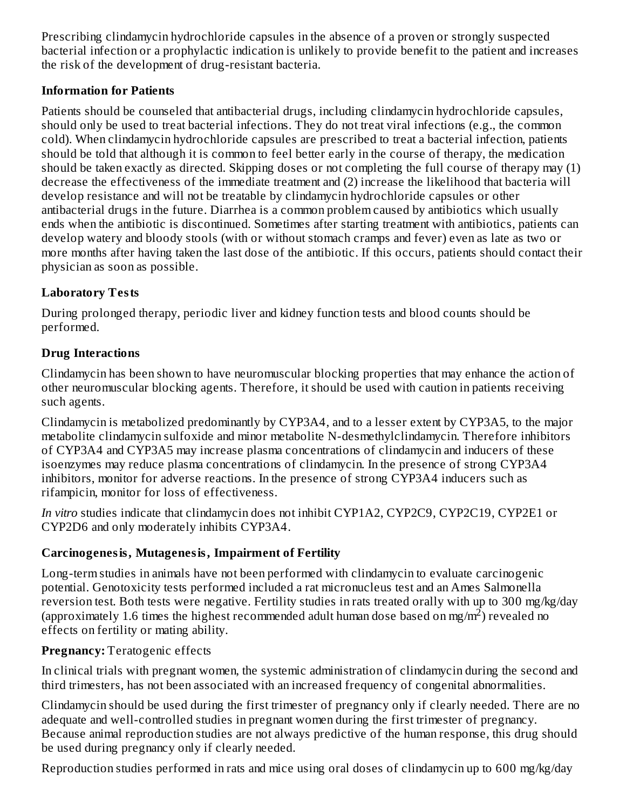Prescribing clindamycin hydrochloride capsules in the absence of a proven or strongly suspected bacterial infection or a prophylactic indication is unlikely to provide benefit to the patient and increases the risk of the development of drug-resistant bacteria.

## **Information for Patients**

Patients should be counseled that antibacterial drugs, including clindamycin hydrochloride capsules, should only be used to treat bacterial infections. They do not treat viral infections (e.g., the common cold). When clindamycin hydrochloride capsules are prescribed to treat a bacterial infection, patients should be told that although it is common to feel better early in the course of therapy, the medication should be taken exactly as directed. Skipping doses or not completing the full course of therapy may (1) decrease the effectiveness of the immediate treatment and (2) increase the likelihood that bacteria will develop resistance and will not be treatable by clindamycin hydrochloride capsules or other antibacterial drugs in the future. Diarrhea is a common problem caused by antibiotics which usually ends when the antibiotic is discontinued. Sometimes after starting treatment with antibiotics, patients can develop watery and bloody stools (with or without stomach cramps and fever) even as late as two or more months after having taken the last dose of the antibiotic. If this occurs, patients should contact their physician as soon as possible.

## **Laboratory Tests**

During prolonged therapy, periodic liver and kidney function tests and blood counts should be performed.

## **Drug Interactions**

Clindamycin has been shown to have neuromuscular blocking properties that may enhance the action of other neuromuscular blocking agents. Therefore, it should be used with caution in patients receiving such agents.

Clindamycin is metabolized predominantly by CYP3A4, and to a lesser extent by CYP3A5, to the major metabolite clindamycin sulfoxide and minor metabolite N-desmethylclindamycin. Therefore inhibitors of CYP3A4 and CYP3A5 may increase plasma concentrations of clindamycin and inducers of these isoenzymes may reduce plasma concentrations of clindamycin. In the presence of strong CYP3A4 inhibitors, monitor for adverse reactions. In the presence of strong CYP3A4 inducers such as rifampicin, monitor for loss of effectiveness.

*In vitro* studies indicate that clindamycin does not inhibit CYP1A2, CYP2C9, CYP2C19, CYP2E1 or CYP2D6 and only moderately inhibits CYP3A4.

## **Carcinogenesis, Mutagenesis, Impairment of Fertility**

Long-term studies in animals have not been performed with clindamycin to evaluate carcinogenic potential. Genotoxicity tests performed included a rat micronucleus test and an Ames Salmonella reversion test. Both tests were negative. Fertility studies in rats treated orally with up to 300 mg/kg/day (approximately 1.6 times the highest recommended adult human dose based on mg/m<sup>2</sup>) revealed no effects on fertility or mating ability.

## **Pregnancy:** Teratogenic effects

In clinical trials with pregnant women, the systemic administration of clindamycin during the second and third trimesters, has not been associated with an increased frequency of congenital abnormalities.

Clindamycin should be used during the first trimester of pregnancy only if clearly needed. There are no adequate and well-controlled studies in pregnant women during the first trimester of pregnancy. Because animal reproduction studies are not always predictive of the human response, this drug should be used during pregnancy only if clearly needed.

Reproduction studies performed in rats and mice using oral doses of clindamycin up to 600 mg/kg/day 2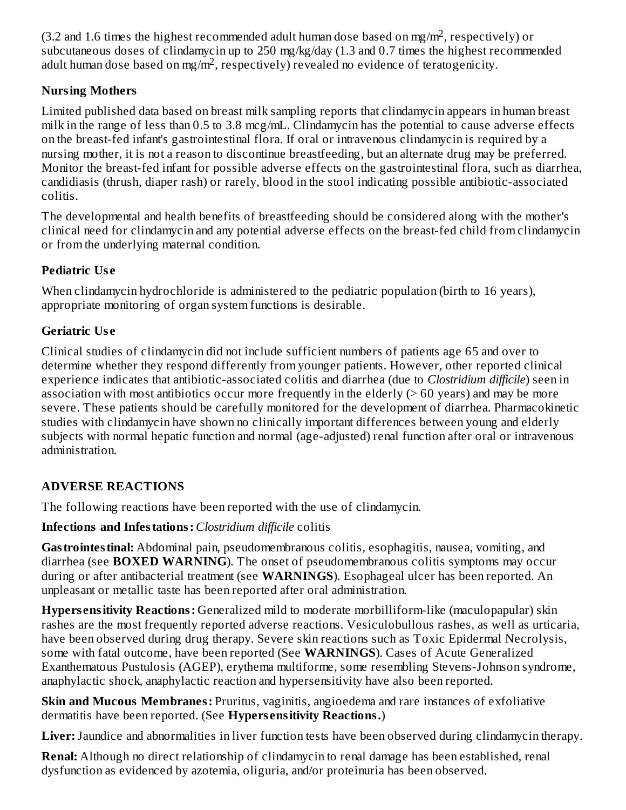(3.2 and 1.6 times the highest recommended adult human dose based on mg/m<sup>2</sup>, respectively) or subcutaneous doses of clindamycin up to 250 mg/kg/day (1.3 and 0.7 times the highest recommended adult human dose based on mg/m<sup>2</sup>, respectively) revealed no evidence of teratogenicity.

# **Nursing Mothers**

Limited published data based on breast milk sampling reports that clindamycin appears in human breast milk in the range of less than 0.5 to 3.8 mcg/mL. Clindamycin has the potential to cause adverse effects on the breast-fed infant's gastrointestinal flora. If oral or intravenous clindamycin is required by a nursing mother, it is not a reason to discontinue breastfeeding, but an alternate drug may be preferred. Monitor the breast-fed infant for possible adverse effects on the gastrointestinal flora, such as diarrhea, candidiasis (thrush, diaper rash) or rarely, blood in the stool indicating possible antibiotic-associated colitis.

The developmental and health benefits of breastfeeding should be considered along with the mother's clinical need for clindamycin and any potential adverse effects on the breast-fed child from clindamycin or from the underlying maternal condition.

# **Pediatric Us e**

When clindamycin hydrochloride is administered to the pediatric population (birth to 16 years), appropriate monitoring of organ system functions is desirable.

# **Geriatric Us e**

Clinical studies of clindamycin did not include sufficient numbers of patients age 65 and over to determine whether they respond differently from younger patients. However, other reported clinical experience indicates that antibiotic-associated colitis and diarrhea (due to *Clostridium difficile*) seen in association with most antibiotics occur more frequently in the elderly (> 60 years) and may be more severe. These patients should be carefully monitored for the development of diarrhea. Pharmacokinetic studies with clindamycin have shown no clinically important differences between young and elderly subjects with normal hepatic function and normal (age-adjusted) renal function after oral or intravenous administration.

# **ADVERSE REACTIONS**

The following reactions have been reported with the use of clindamycin.

# **Infections and Infestations:** *Clostridium difficile* colitis

**Gastrointestinal:** Abdominal pain, pseudomembranous colitis, esophagitis, nausea, vomiting, and diarrhea (see **BOXED WARNING**). The onset of pseudomembranous colitis symptoms may occur during or after antibacterial treatment (see **WARNINGS**). Esophageal ulcer has been reported. An unpleasant or metallic taste has been reported after oral administration.

**Hypers ensitivity Reactions:** Generalized mild to moderate morbilliform-like (maculopapular) skin rashes are the most frequently reported adverse reactions. Vesiculobullous rashes, as well as urticaria, have been observed during drug therapy. Severe skin reactions such as Toxic Epidermal Necrolysis, some with fatal outcome, have been reported (See **WARNINGS**). Cases of Acute Generalized Exanthematous Pustulosis (AGEP), erythema multiforme, some resembling Stevens-Johnson syndrome, anaphylactic shock, anaphylactic reaction and hypersensitivity have also been reported.

**Skin and Mucous Membranes:** Pruritus, vaginitis, angioedema and rare instances of exfoliative dermatitis have been reported. (See **Hypers ensitivity Reactions.**)

**Liver:**Jaundice and abnormalities in liver function tests have been observed during clindamycin therapy.

**Renal:** Although no direct relationship of clindamycin to renal damage has been established, renal dysfunction as evidenced by azotemia, oliguria, and/or proteinuria has been observed.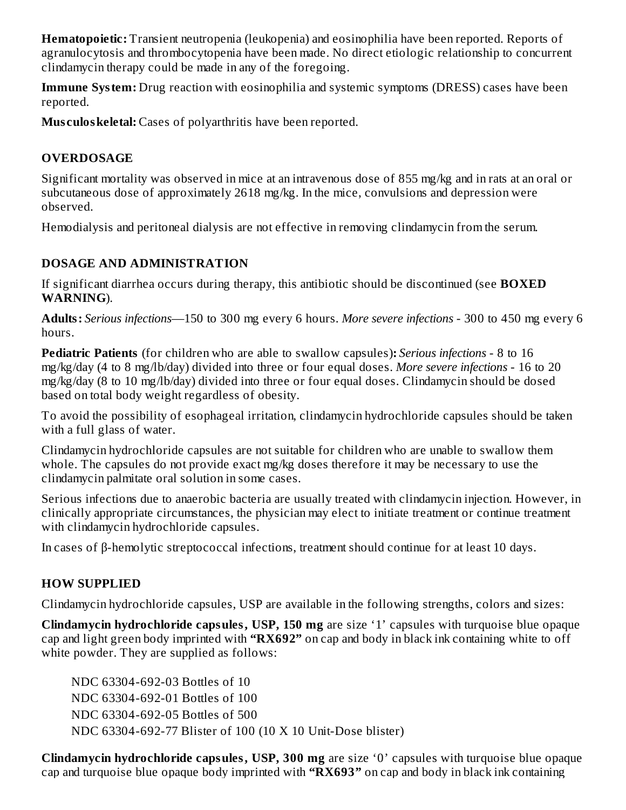**Hematopoietic:** Transient neutropenia (leukopenia) and eosinophilia have been reported. Reports of agranulocytosis and thrombocytopenia have been made. No direct etiologic relationship to concurrent clindamycin therapy could be made in any of the foregoing.

**Immune System:** Drug reaction with eosinophilia and systemic symptoms (DRESS) cases have been reported.

**Mus culoskeletal:** Cases of polyarthritis have been reported.

## **OVERDOSAGE**

Significant mortality was observed in mice at an intravenous dose of 855 mg/kg and in rats at an oral or subcutaneous dose of approximately 2618 mg/kg. In the mice, convulsions and depression were observed.

Hemodialysis and peritoneal dialysis are not effective in removing clindamycin from the serum.

## **DOSAGE AND ADMINISTRATION**

If significant diarrhea occurs during therapy, this antibiotic should be discontinued (see **BOXED WARNING**).

**Adults:** *Serious infections*—150 to 300 mg every 6 hours. *More severe infections* - 300 to 450 mg every 6 hours.

**Pediatric Patients** (for children who are able to swallow capsules)**:** *Serious infections* - 8 to 16 mg/kg/day (4 to 8 mg/lb/day) divided into three or four equal doses. *More severe infections* - 16 to 20 mg/kg/day (8 to 10 mg/lb/day) divided into three or four equal doses. Clindamycin should be dosed based on total body weight regardless of obesity.

To avoid the possibility of esophageal irritation, clindamycin hydrochloride capsules should be taken with a full glass of water.

Clindamycin hydrochloride capsules are not suitable for children who are unable to swallow them whole. The capsules do not provide exact mg/kg doses therefore it may be necessary to use the clindamycin palmitate oral solution in some cases.

Serious infections due to anaerobic bacteria are usually treated with clindamycin injection. However, in clinically appropriate circumstances, the physician may elect to initiate treatment or continue treatment with clindamycin hydrochloride capsules.

In cases of β-hemolytic streptococcal infections, treatment should continue for at least 10 days.

## **HOW SUPPLIED**

Clindamycin hydrochloride capsules, USP are available in the following strengths, colors and sizes:

**Clindamycin hydrochloride capsules, USP, 150 mg** are size '1' capsules with turquoise blue opaque cap and light green body imprinted with **"RX692"** on cap and body in black ink containing white to off white powder. They are supplied as follows:

NDC 63304-692-03 Bottles of 10 NDC 63304-692-01 Bottles of 100 NDC 63304-692-05 Bottles of 500 NDC 63304-692-77 Blister of 100 (10 X 10 Unit-Dose blister)

**Clindamycin hydrochloride capsules, USP, 300 mg** are size '0' capsules with turquoise blue opaque cap and turquoise blue opaque body imprinted with **"RX693"** on cap and body in black ink containing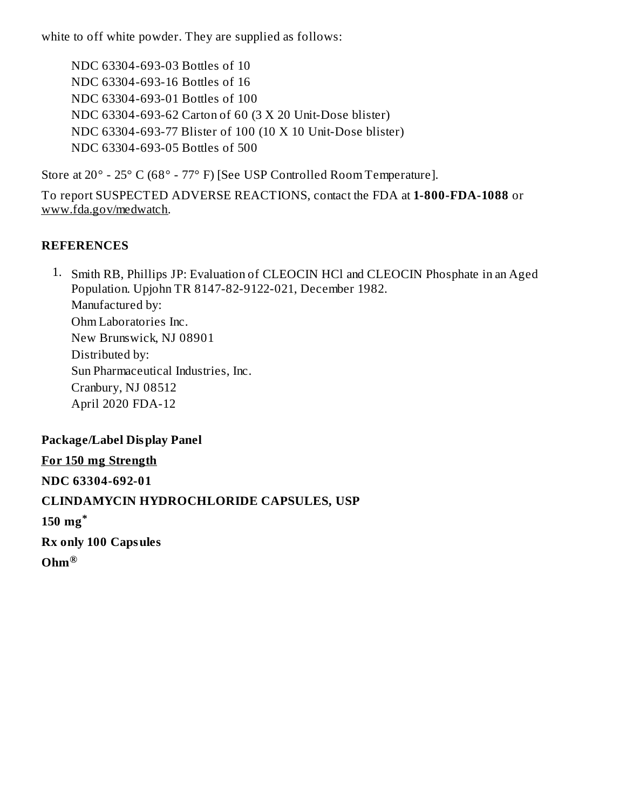white to off white powder. They are supplied as follows:

NDC 63304-693-03 Bottles of 10 NDC 63304-693-16 Bottles of 16 NDC 63304-693-01 Bottles of 100 NDC 63304-693-62 Carton of 60 (3 X 20 Unit-Dose blister) NDC 63304-693-77 Blister of 100 (10 X 10 Unit-Dose blister) NDC 63304-693-05 Bottles of 500

Store at 20° - 25° C (68° - 77° F) [See USP Controlled Room Temperature].

To report SUSPECTED ADVERSE REACTIONS, contact the FDA at **1-800-FDA-1088** or www.fda.gov/medwatch.

### **REFERENCES**

1. Smith RB, Phillips JP: Evaluation of CLEOCIN HCl and CLEOCIN Phosphate in an Aged Population. Upjohn TR 8147-82-9122-021, December 1982. Manufactured by: Ohm Laboratories Inc. New Brunswick, NJ 08901 Distributed by: Sun Pharmaceutical Industries, Inc. Cranbury, NJ 08512 April 2020 FDA-12

**Package/Label Display Panel**

**For 150 mg Strength NDC 63304-692-01 CLINDAMYCIN HYDROCHLORIDE CAPSULES, USP 150 mg \* Rx only 100 Capsules Ohm ®**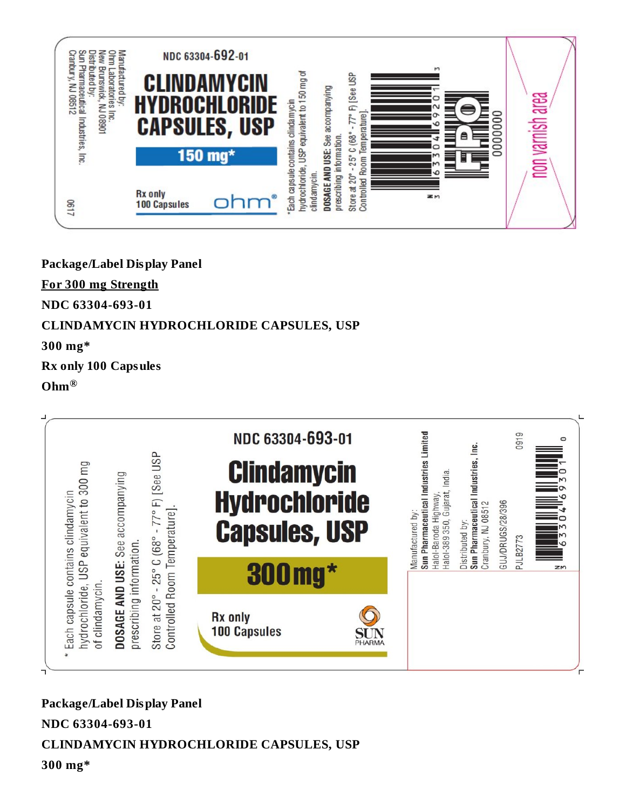

#### **Package/Label Display Panel**

**For 300 mg Strength**

**NDC 63304-693-01**

## **CLINDAMYCIN HYDROCHLORIDE CAPSULES, USP**

**300 mg\***

**Rx only 100 Capsules**

**Ohm ®**



# **Package/Label Display Panel NDC 63304-693-01 CLINDAMYCIN HYDROCHLORIDE CAPSULES, USP**

**300 mg\***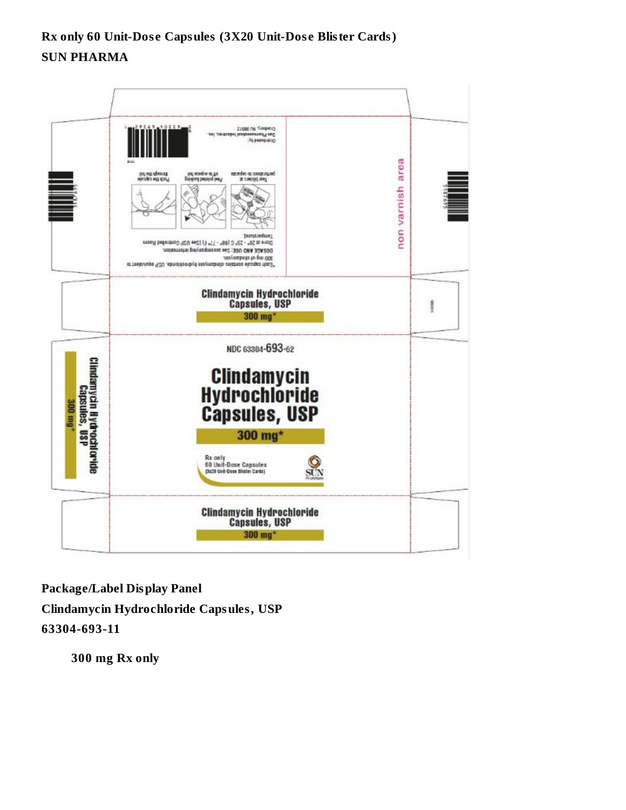# **Rx only 60 Unit-Dos e Capsules (3X20 Unit-Dos e Blister Cards) SUN PHARMA**



**Package/Label Display Panel Clindamycin Hydrochloride Capsules, USP 63304-693-11**

**300 mg Rx only**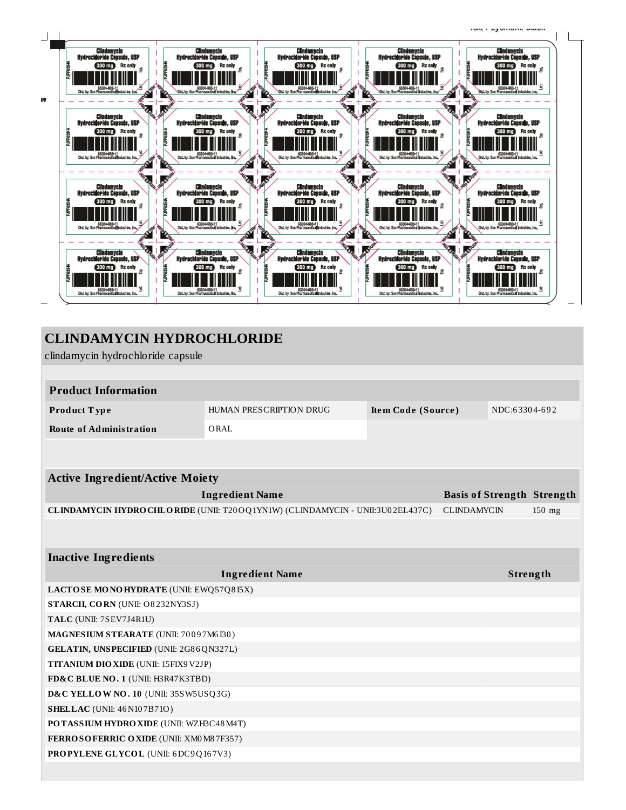

# **CLINDAMYCIN HYDROCHLORIDE** clindamycin hydrochloride capsule **Product Information Product T ype** HUMAN PRESCRIPTION DRUG **Ite m Code (Source )** NDC:6 330 4-6 9 2 **Route of Administration** ORAL **Active Ingredient/Active Moiety Ingredient Name Basis of Strength Strength CLINDAMYCIN HYDROCHLORIDE** (UNII: T20OQ1YN1W) (CLINDAMYCIN - UNII:3U0 2EL437C) CLINDAMYCIN 150 mg **Inactive Ingredients Ingredient Name Strength LACTOSE MONOHYDRATE** (UNII: EWQ57Q8 I5X) **STARCH, CORN** (UNII: O8 232NY3SJ) **TALC** (UNII: 7SEV7J4R1U) **MAGNESIUM STEARATE** (UNII: 70 0 9 7M6 I30 ) **GELATIN, UNSPECIFIED** (UNII: 2G8 6QN327L) **TITANIUM DIOXIDE** (UNII: 15FIX9V2JP) **FD&C BLUE NO. 1** (UNII: H3R47K3TBD) **D&C YELLOW NO. 10** (UNII: 35SW5USQ3G) **SHELLAC** (UNII: 46N10 7B71O) **POTASSIUM HYDROXIDE** (UNII: WZH3C48M4T) **FERROSOFERRIC OXIDE** (UNII: XM0M8 7F357) **PROPYLENE GLYCOL** (UNII: 6DC9Q16 7V3)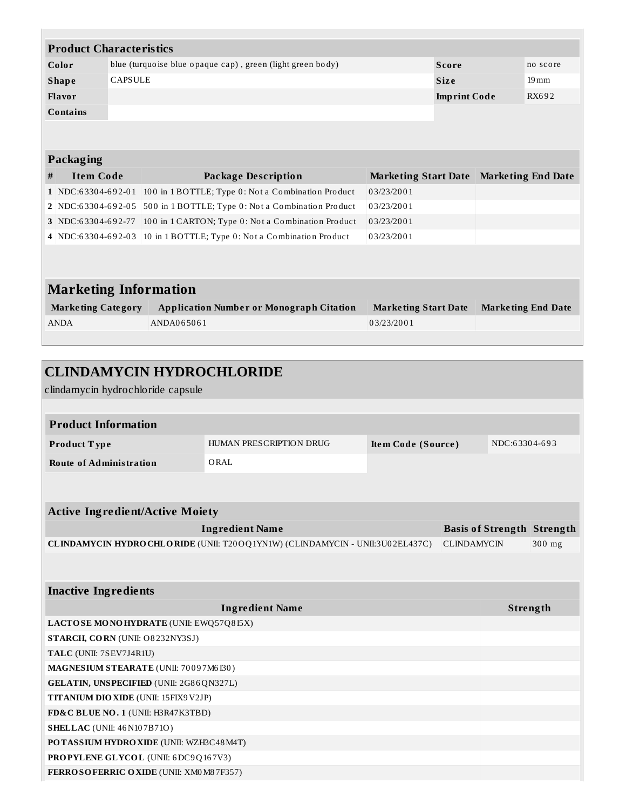|                           | <b>Product Characteristics</b>   |                                                 |                                                            |                             |                     |                           |                           |  |
|---------------------------|----------------------------------|-------------------------------------------------|------------------------------------------------------------|-----------------------------|---------------------|---------------------------|---------------------------|--|
| Color                     |                                  |                                                 | blue (turquoise blue opaque cap), green (light green body) | Score                       |                     | no score                  |                           |  |
| <b>Shape</b>              |                                  | <b>CAPSULE</b>                                  |                                                            |                             | <b>Size</b>         |                           | $19 \,\mathrm{mm}$        |  |
| Flavor                    |                                  |                                                 |                                                            |                             | <b>Imprint Code</b> |                           | RX692                     |  |
|                           | Contains                         |                                                 |                                                            |                             |                     |                           |                           |  |
|                           |                                  |                                                 |                                                            |                             |                     |                           |                           |  |
|                           | <b>Packaging</b>                 |                                                 |                                                            |                             |                     |                           |                           |  |
| #                         | <b>Item Code</b>                 |                                                 | <b>Package Description</b>                                 | <b>Marketing Start Date</b> |                     | <b>Marketing End Date</b> |                           |  |
|                           | 1 NDC:63304-692-01               |                                                 | 100 in 1 BOTTLE; Type 0: Not a Combination Product         | 03/23/2001                  |                     |                           |                           |  |
|                           | 2 NDC:63304-692-05               |                                                 | 500 in 1 BOTTLE; Type 0: Not a Combination Product         | 03/23/2001                  |                     |                           |                           |  |
|                           | 3 NDC:63304-692-77               |                                                 | 100 in 1 CARTON; Type 0: Not a Combination Product         | 03/23/2001                  |                     |                           |                           |  |
|                           | 4 NDC:63304-692-03               |                                                 | 10 in 1 BOTTLE; Type 0: Not a Combination Product          | 03/23/2001                  |                     |                           |                           |  |
|                           |                                  |                                                 |                                                            |                             |                     |                           |                           |  |
|                           |                                  |                                                 |                                                            |                             |                     |                           |                           |  |
|                           |                                  |                                                 | <b>Marketing Information</b>                               |                             |                     |                           |                           |  |
| <b>Marketing Category</b> |                                  | <b>Application Number or Monograph Citation</b> |                                                            | <b>Marketing Start Date</b> |                     |                           | <b>Marketing End Date</b> |  |
| <b>ANDA</b>               |                                  | ANDA065061                                      |                                                            | 03/23/2001                  |                     |                           |                           |  |
|                           |                                  |                                                 |                                                            |                             |                     |                           |                           |  |
|                           |                                  |                                                 |                                                            |                             |                     |                           |                           |  |
|                           | <b>CLINDAMYCIN HYDROCHLORIDE</b> |                                                 |                                                            |                             |                     |                           |                           |  |

| clindamycin hydrochloride capsule |  |
|-----------------------------------|--|

Г

| <b>Product Information</b>                                                                                      |                        |               |  |  |          |  |
|-----------------------------------------------------------------------------------------------------------------|------------------------|---------------|--|--|----------|--|
| Product Type                                                                                                    | Item Code (Source)     | NDC:63304-693 |  |  |          |  |
| <b>Route of Administration</b>                                                                                  |                        |               |  |  |          |  |
|                                                                                                                 |                        |               |  |  |          |  |
|                                                                                                                 |                        |               |  |  |          |  |
| <b>Active Ingredient/Active Moiety</b>                                                                          |                        |               |  |  |          |  |
| <b>Ingredient Name</b><br><b>Basis of Strength Strength</b>                                                     |                        |               |  |  |          |  |
| CLINDAMYCIN HYDRO CHLORIDE (UNII: T20OQ1YN1W) (CLINDAMYCIN - UNII:3U02EL437C)<br><b>CLINDAMYCIN</b><br>$300$ mg |                        |               |  |  |          |  |
|                                                                                                                 |                        |               |  |  |          |  |
|                                                                                                                 |                        |               |  |  |          |  |
| <b>Inactive Ingredients</b>                                                                                     |                        |               |  |  |          |  |
|                                                                                                                 | <b>Ingredient Name</b> |               |  |  | Strength |  |
| LACTOSE MONOHYDRATE (UNII: EWQ57Q8I5X)                                                                          |                        |               |  |  |          |  |
| STARCH, CORN (UNII: O8232NY3SJ)                                                                                 |                        |               |  |  |          |  |
| TALC (UNII: 7SEV7J4R1U)                                                                                         |                        |               |  |  |          |  |
| MAGNESIUM STEARATE (UNII: 70097M6I30)                                                                           |                        |               |  |  |          |  |
| <b>GELATIN, UNSPECIFIED (UNII: 2G86QN327L)</b>                                                                  |                        |               |  |  |          |  |

**TITANIUM DIOXIDE** (UNII: 15FIX9V2JP) **FD&C BLUE NO. 1** (UNII: H3R47K3TBD)

**SHELLAC** (UNII: 46N10 7B71O) **POTASSIUM HYDROXIDE** (UNII: WZH3C48M4T)

**PROPYLENE GLYCOL** (UNII: 6DC9Q16 7V3)

**FERROSOFERRIC OXIDE** (UNII: XM0M8 7F357)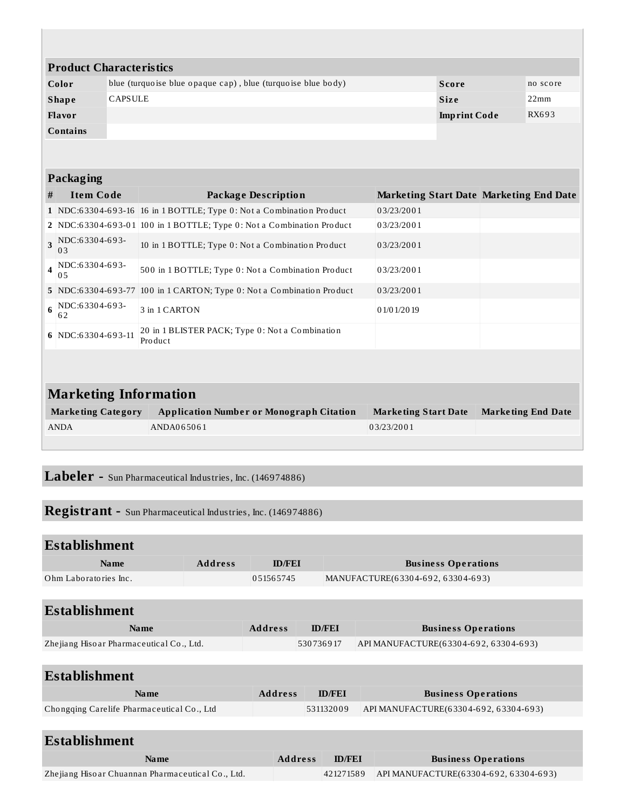|               | <b>Product Characteristics</b> |                |                                                                       |                                                |             |          |                           |  |
|---------------|--------------------------------|----------------|-----------------------------------------------------------------------|------------------------------------------------|-------------|----------|---------------------------|--|
|               | Color                          |                | blue (turquoise blue opaque cap), blue (turquoise blue body)          | <b>Score</b>                                   |             | no score |                           |  |
|               | <b>Shape</b>                   | <b>CAPSULE</b> |                                                                       |                                                | <b>Size</b> |          | 22mm                      |  |
| <b>Flavor</b> |                                |                |                                                                       | <b>Imprint Code</b>                            |             | RX693    |                           |  |
|               | Contains                       |                |                                                                       |                                                |             |          |                           |  |
|               |                                |                |                                                                       |                                                |             |          |                           |  |
|               |                                |                |                                                                       |                                                |             |          |                           |  |
|               | <b>Packaging</b>               |                |                                                                       |                                                |             |          |                           |  |
| #             | <b>Item Code</b>               |                | <b>Package Description</b>                                            | <b>Marketing Start Date Marketing End Date</b> |             |          |                           |  |
|               |                                |                | 1 NDC:63304-693-16 16 in 1 BOTTLE; Type 0: Not a Combination Product  | 03/23/2001                                     |             |          |                           |  |
|               |                                |                | 2 NDC:63304-693-01 100 in 1 BOTTLE; Type 0: Not a Combination Product | 03/23/2001                                     |             |          |                           |  |
|               | $3$ NDC:63304-693-<br>03       |                | 10 in 1 BOTTLE; Type 0: Not a Combination Product                     | 03/23/2001                                     |             |          |                           |  |
| 4             | NDC:63304-693-<br>05           |                | 500 in 1 BOTTLE; Type 0: Not a Combination Product                    | 03/23/2001                                     |             |          |                           |  |
|               | 5 NDC:63304-693-77             |                | 100 in 1 CARTON; Type 0: Not a Combination Product                    | 03/23/2001                                     |             |          |                           |  |
| 6             | NDC:63304-693-<br>62           |                | 3 in 1 CARTON                                                         | 0 1/0 1/20 19                                  |             |          |                           |  |
|               | 6 NDC:63304-693-11             |                | 20 in 1 BLISTER PACK; Type 0: Not a Combination<br>Product            |                                                |             |          |                           |  |
|               |                                |                |                                                                       |                                                |             |          |                           |  |
|               |                                |                |                                                                       |                                                |             |          |                           |  |
|               | <b>Marketing Information</b>   |                |                                                                       |                                                |             |          |                           |  |
|               | <b>Marketing Category</b>      |                | <b>Application Number or Monograph Citation</b>                       | <b>Marketing Start Date</b>                    |             |          | <b>Marketing End Date</b> |  |
|               | <b>ANDA</b>                    |                | ANDA065061                                                            | 03/23/2001                                     |             |          |                           |  |
|               |                                |                |                                                                       |                                                |             |          |                           |  |

**Labeler -** Sun Pharmaceutical Industries, Inc. (146974886)

**Registrant -** Sun Pharmaceutical Industries, Inc. (146974886)

| <b>Establishment</b>  |                |               |                                   |  |  |  |
|-----------------------|----------------|---------------|-----------------------------------|--|--|--|
| Name                  | <b>Address</b> | <b>ID/FEI</b> | <b>Business Operations</b>        |  |  |  |
| Ohm Laboratories Inc. |                | 051565745     | MANUFACTURE(63304-692, 63304-693) |  |  |  |

**Establishment**

| Na me                                    | <b>Address</b> | <b>ID/FEI</b> | <b>Business Operations</b>                    |
|------------------------------------------|----------------|---------------|-----------------------------------------------|
| Zhejiang Hisoar Pharmaceutical Co., Ltd. |                | 530736917     | $\vert$ API MANUFACTURE(63304-692, 63304-693) |

**Establishment**

| <b>Name</b>                                | <b>Address</b> | <b>ID/FEI</b> | <b>Business Operations</b>             |
|--------------------------------------------|----------------|---------------|----------------------------------------|
| Chongqing Carelife Pharmaceutical Co., Ltd |                | 531132009     | API MANUFACTURE (63304-692, 63304-693) |

| <b>Establishment</b>                              |                |               |                                                  |  |  |  |
|---------------------------------------------------|----------------|---------------|--------------------------------------------------|--|--|--|
| Na me                                             | <b>Address</b> | <b>ID/FEI</b> | <b>Business Operations</b>                       |  |  |  |
| Zhejiang Hisoar Chuannan Pharmaceutical Co., Ltd. |                |               | 421271589 API MANUFACTURE (63304-692, 63304-693) |  |  |  |